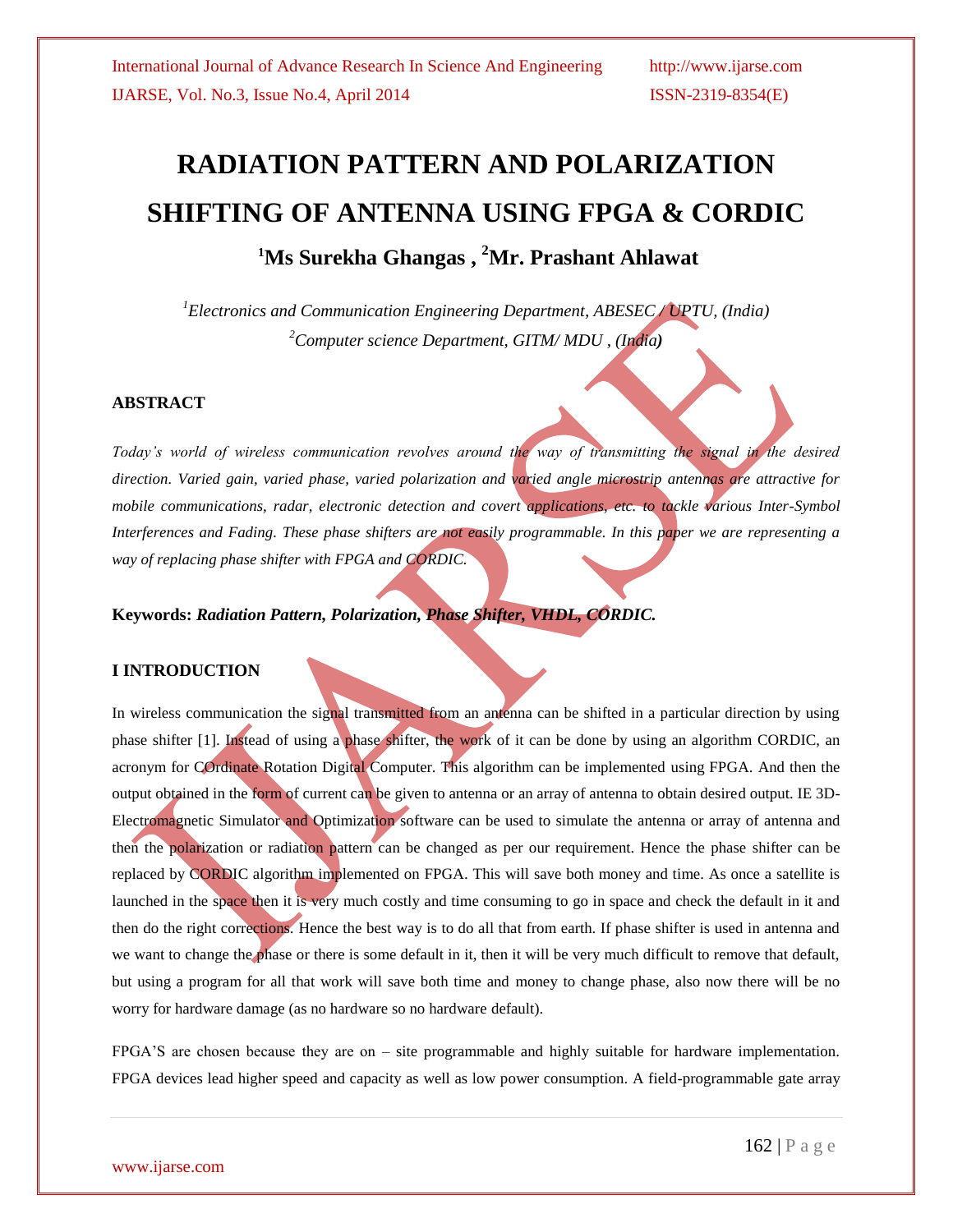# **RADIATION PATTERN AND POLARIZATION SHIFTING OF ANTENNA USING FPGA & CORDIC <sup>1</sup>Ms Surekha Ghangas , <sup>2</sup>Mr. Prashant Ahlawat**

*<sup>1</sup>Electronics and Communication Engineering Department, ABESEC / UPTU, (India) <sup>2</sup>Computer science Department, GITM/ MDU , (India)*

#### **ABSTRACT**

*Today's world of wireless communication revolves around the way of transmitting the signal in the desired direction. Varied gain, varied phase, varied polarization and varied angle microstrip antennas are attractive for mobile communications, radar, electronic detection and covert applications, etc. to tackle various Inter-Symbol Interferences and Fading. These phase shifters are not easily programmable. In this paper we are representing a way of replacing phase shifter with FPGA and CORDIC.*

**Keywords:** *Radiation Pattern, Polarization, Phase Shifter, VHDL, CORDIC.*

### **I INTRODUCTION**

In wireless communication the signal transmitted from an antenna can be shifted in a particular direction by using phase shifter [1]. Instead of using a phase shifter, the work of it can be done by using an algorithm CORDIC, an acronym for COrdinate Rotation Digital Computer. This algorithm can be implemented using FPGA. And then the output obtained in the form of current can be given to antenna or an array of antenna to obtain desired output. IE 3D-Electromagnetic Simulator and Optimization software can be used to simulate the antenna or array of antenna and then the polarization or radiation pattern can be changed as per our requirement. Hence the phase shifter can be replaced by CORDIC algorithm implemented on FPGA. This will save both money and time. As once a satellite is launched in the space then it is very much costly and time consuming to go in space and check the default in it and then do the right corrections. Hence the best way is to do all that from earth. If phase shifter is used in antenna and we want to change the phase or there is some default in it, then it will be very much difficult to remove that default, but using a program for all that work will save both time and money to change phase, also now there will be no worry for hardware damage (as no hardware so no hardware default).

FPGA'S are chosen because they are on – site programmable and highly suitable for hardware implementation. FPGA devices lead higher speed and capacity as well as low power consumption. A field-programmable gate array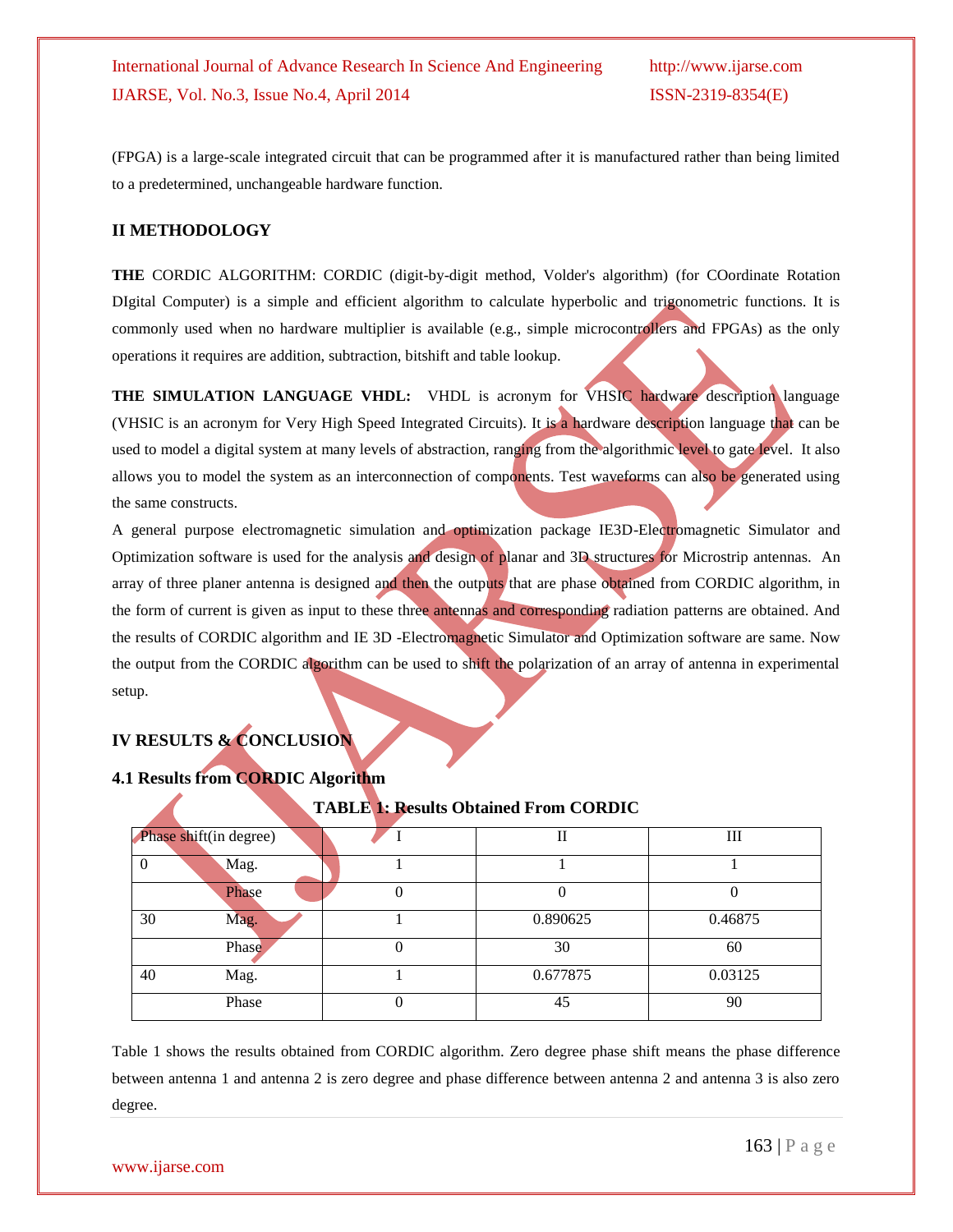(FPGA) is a large-scale integrated circuit that can be programmed after it is manufactured rather than being limited to a predetermined, unchangeable hardware function.

#### **II METHODOLOGY**

**THE** CORDIC ALGORITHM: CORDIC (digit-by-digit method, Volder's algorithm) (for COordinate Rotation DIgital Computer) is a simple and efficient algorithm to calculate hyperbolic and trigonometric functions. It is commonly used when no hardware multiplier is available (e.g., simple microcontrollers and FPGAs) as the only operations it requires are addition, subtraction, bitshift and table lookup.

**THE SIMULATION LANGUAGE VHDL:** VHDL is acronym for VHSIC hardware description language (VHSIC is an acronym for Very High Speed Integrated Circuits). It is a hardware description language that can be used to model a digital system at many levels of abstraction, ranging from the algorithmic level to gate level. It also allows you to model the system as an interconnection of components. Test waveforms can also be generated using the same constructs.

A general purpose electromagnetic simulation and optimization package IE3D-Electromagnetic Simulator and Optimization software is used for the analysis and design of planar and 3D structures for Microstrip antennas. An array of three planer antenna is designed and then the outputs that are phase obtained from CORDIC algorithm, in the form of current is given as input to these three antennas and corresponding radiation patterns are obtained. And the results of CORDIC algorithm and IE 3D -Electromagnetic Simulator and Optimization software are same. Now the output from the CORDIC algorithm can be used to shift the polarization of an array of antenna in experimental setup.

## **IV RESULTS & CONCLUSION**

### **4.1 Results from CORDIC Algorithm**

**TABLE 1: Results Obtained From CORDIC**

|    | Phase shift(in degree) |   |          | Ш       |
|----|------------------------|---|----------|---------|
| 0  | Mag.                   |   |          |         |
|    | Phase                  |   |          |         |
| 30 | Mag.                   |   | 0.890625 | 0.46875 |
|    | Phase                  | 0 | 30       | 60      |
| 40 | Mag.                   |   | 0.677875 | 0.03125 |
|    | Phase                  |   | 45       | 90      |

Table 1 shows the results obtained from CORDIC algorithm. Zero degree phase shift means the phase difference between antenna 1 and antenna 2 is zero degree and phase difference between antenna 2 and antenna 3 is also zero degree.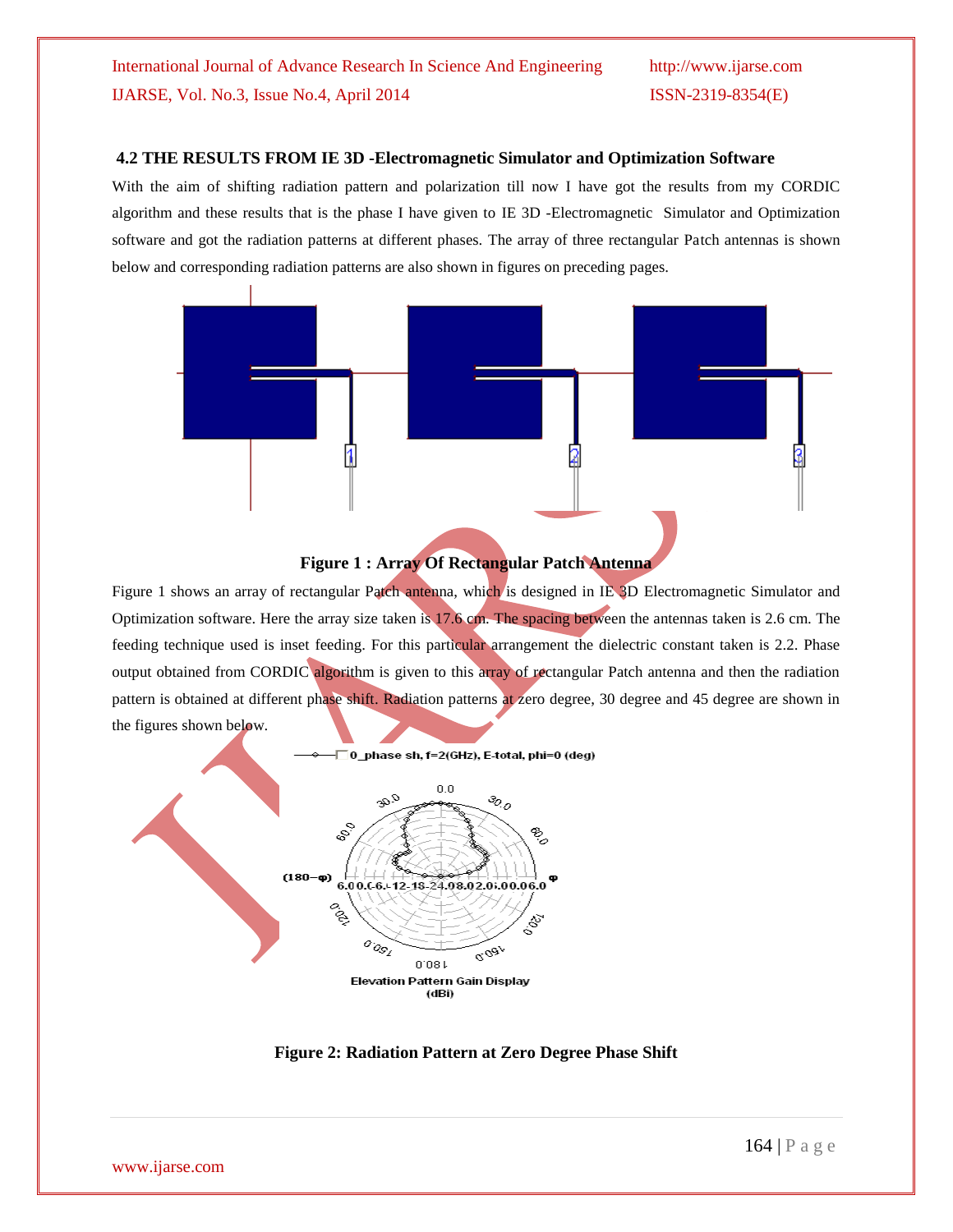#### **4.2 THE RESULTS FROM IE 3D -Electromagnetic Simulator and Optimization Software**

With the aim of shifting radiation pattern and polarization till now I have got the results from my CORDIC algorithm and these results that is the phase I have given to IE 3D -Electromagnetic Simulator and Optimization software and got the radiation patterns at different phases. The array of three rectangular Patch antennas is shown below and corresponding radiation patterns are also shown in figures on preceding pages.





Figure 1 shows an array of rectangular Patch antenna, which is designed in IE 3D Electromagnetic Simulator and Optimization software. Here the array size taken is 17.6 cm. The spacing between the antennas taken is 2.6 cm. The feeding technique used is inset feeding. For this particular arrangement the dielectric constant taken is 2.2. Phase output obtained from CORDIC algorithm is given to this array of rectangular Patch antenna and then the radiation pattern is obtained at different phase shift. Radiation patterns at zero degree, 30 degree and 45 degree are shown in the figures shown below.



**Figure 2: Radiation Pattern at Zero Degree Phase Shift**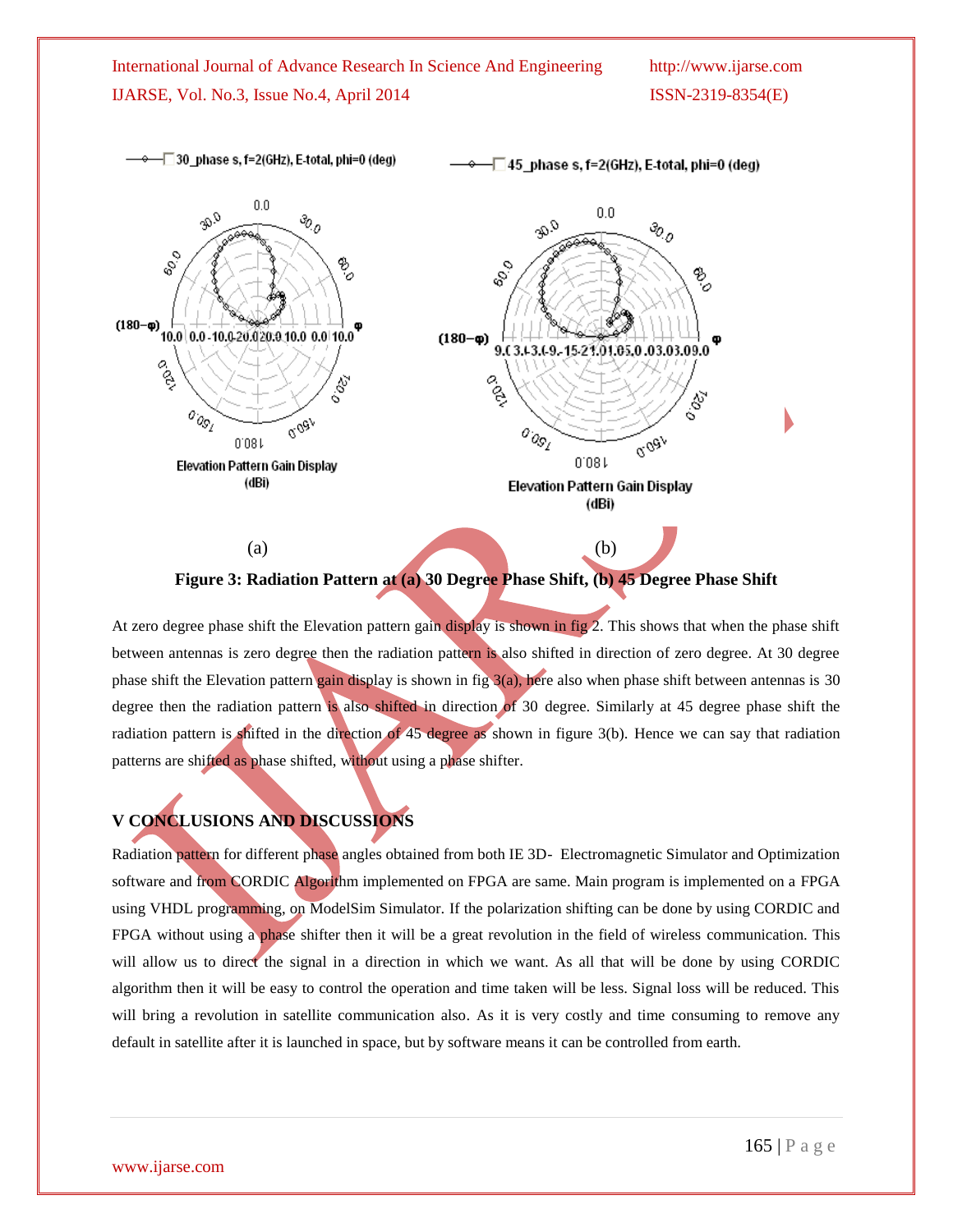International Journal of Advance Research In Science And Engineering http://www.ijarse.com IJARSE, Vol. No.3, Issue No.4, April 2014 ISSN-2319-8354(E)

-□30\_phase s, f=2(GHz), E-total, phi=0 (deg) —⊡45\_phase s, f=2(GHz), E-total, phi=0 (deg)  $0.0\,$  $\mathcal{P}^{\mathcal{Q}}$  $0.0$  $\mathcal{P}_o$  $\mathcal{P}^{\mathcal{Q}}$ so,  $\frac{6}{3}$ ್ಯ  $\frac{6}{3}$ B  $(180 - \phi)$ 10.0 0.0 - 10.0 20.0 20.0 10.0 0.0 10.0  $(180 - \phi)$ 9.(3.13.(9.15-21.01.05.0.03.03.09.0 ू<br>१२ 189. Pop 's o  $\sigma_{\partial_{\mathcal{S}_\ell}}$ o'ogy  $\sigma_{\partial_{\mathcal{S}_\ell}}$ orgav  $0.08$  $0.081$ Elevation Pattern Gain Display (dBi) Elevation Pattern Gain Display (dBi)  $(a)$  (b)

**Figure 3: Radiation Pattern at (a) 30 Degree Phase Shift, (b) 45 Degree Phase Shift**

At zero degree phase shift the Elevation pattern gain display is shown in fig 2. This shows that when the phase shift between antennas is zero degree then the radiation pattern is also shifted in direction of zero degree. At 30 degree phase shift the Elevation pattern gain display is shown in fig 3(a), here also when phase shift between antennas is 30 degree then the radiation pattern is also shifted in direction of 30 degree. Similarly at 45 degree phase shift the radiation pattern is shifted in the direction of 45 degree as shown in figure 3(b). Hence we can say that radiation patterns are shifted as phase shifted, without using a phase shifter.

# **V CONCLUSIONS AND DISCUSSIONS**

Radiation pattern for different phase angles obtained from both IE 3D- Electromagnetic Simulator and Optimization software and from CORDIC Algorithm implemented on FPGA are same. Main program is implemented on a FPGA using VHDL programming, on ModelSim Simulator. If the polarization shifting can be done by using CORDIC and FPGA without using a phase shifter then it will be a great revolution in the field of wireless communication. This will allow us to direct the signal in a direction in which we want. As all that will be done by using CORDIC algorithm then it will be easy to control the operation and time taken will be less. Signal loss will be reduced. This will bring a revolution in satellite communication also. As it is very costly and time consuming to remove any default in satellite after it is launched in space, but by software means it can be controlled from earth.